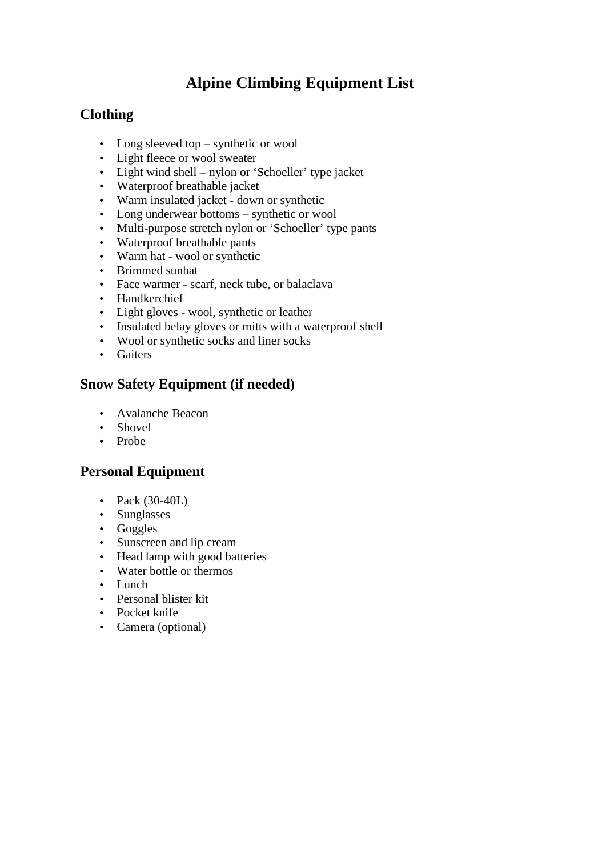# **Alpine Climbing Equipment List**

### **Clothing**

- Long sleeved top synthetic or wool
- Light fleece or wool sweater
- Light wind shell nylon or 'Schoeller' type jacket
- Waterproof breathable jacket
- Warm insulated jacket down or synthetic
- Long underwear bottoms synthetic or wool
- Multi-purpose stretch nylon or 'Schoeller' type pants
- Waterproof breathable pants
- Warm hat wool or synthetic
- Brimmed sunhat
- Face warmer scarf, neck tube, or balaclava
- Handkerchief
- Light gloves wool, synthetic or leather
- Insulated belay gloves or mitts with a waterproof shell
- Wool or synthetic socks and liner socks
- Gaiters

#### **Snow Safety Equipment (if needed)**

- Avalanche Beacon
- Shovel
- Probe

### **Personal Equipment**

- Pack (30-40L)
- Sunglasses
- Goggles
- Sunscreen and lip cream
- Head lamp with good batteries
- Water bottle or thermos
- Lunch
- Personal blister kit
- Pocket knife
- Camera (optional)